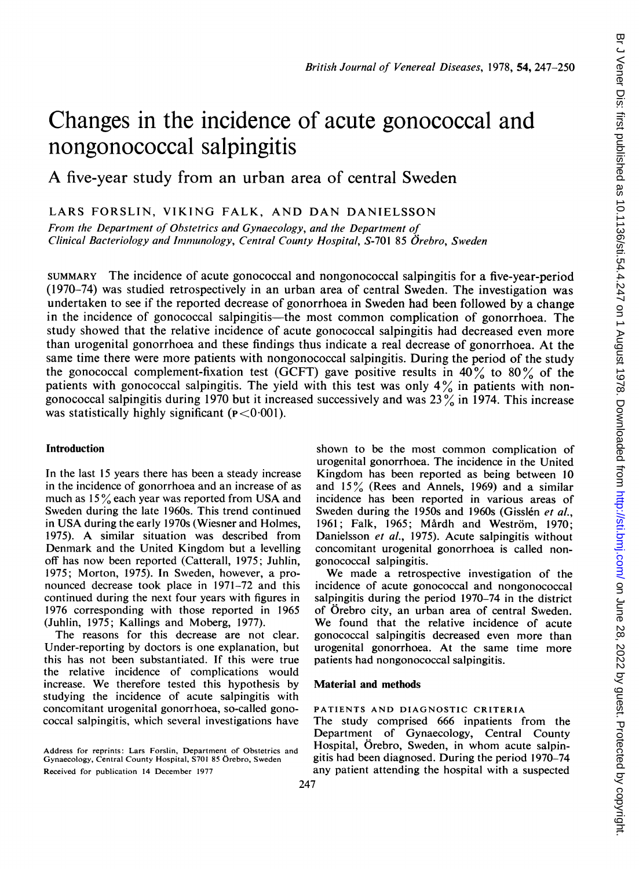# Changes in the incidence of acute gonococcal and nongonococcal salpingitis

A five-year study from an urban area of central Sweden

LARS FORSLIN, VIKING FALK, AND DAN DANIELSSON

From the Department of Obstetrics and Gynaecology, and the Department of Clinical Bacteriology and Imnmunology, Central County Hospital, S-701 85 Orebro, Sweden

SUMMARY The incidence of acute gonococcal and nongonococcal salpingitis for a five-year-period (1970-74) was studied retrospectively in an urban area of central Sweden. The investigation was undertaken to see if the reported decrease of gonorrhoea in Sweden had been followed by a change in the incidence of gonococcal salpingitis—the most common complication of gonorrhoea. The study showed that the relative incidence of acute gonococcal salpingitis had decreased even more than urogenital gonorrhoea and these findings thus indicate a real decrease of gonorrhoea. At the same time there were more patients with nongonococcal salpingitis. During the period of the study the gonococcal complement-fixation test (GCFT) gave positive results in  $40\%$  to  $80\%$  of the patients with gonococcal salpingitis. The yield with this test was only  $4\%$  in patients with nongonococcal salpingitis during 1970 but it increased successively and was 23% in 1974. This increase was statistically highly significant ( $p < 0.001$ ).

## Introduction

In the last 15 years there has been a steady increase in the incidence of gonorrhoea and an increase of as much as <sup>15</sup> % each year was reported from USA and Sweden during the late 1960s. This trend continued in USA during the early 1970s (Wiesner and Holmes, 1975). A similar situation was described from Denmark and the United Kingdom but a levelling off has now been reported (Catterall, 1975; Juhlin, 1975; Morton, 1975). In Sweden, however, a pronounced decrease took place in 1971-72 and this continued during the next four years with figures in 1976 corresponding with those reported in 1965 (Juhlin, 1975; Kallings and Moberg, 1977).

The reasons for this decrease are not clear. Under-reporting by doctors is one explanation, but this has not been substantiated. If this were true the relative incidence of complications would increase. We therefore tested this hypothesis by studying the incidence of acute salpingitis with concomitant urogenital gonorrhoea, so-called gonococcal salpingitis, which several investigations have

Material and methods PATIENTS AND DIAGNOSTIC CRITERIA The study comprised 666 inpatients from the

patients had nongonococcal salpingitis.

gonococcal salpingitis.

Department of Gynaecology, Central County Hospital, Orebro, Sweden, in whom acute salpingitis had been diagnosed. During the period 1970-74 any patient attending the hospital with a suspected

shown to be the most common complication of urogenital gonorrhoea. The incidence in the United Kingdom has been reported as being between 10 and  $15\%$  (Rees and Annels, 1969) and a similar incidence has been reported in various areas of Sweden during the 1950s and 1960s (Gisslén et al., 1961; Falk, 1965; Mårdh and Weström, 1970; Danielsson et al., 1975). Acute salpingitis without concomitant urogenital gonorrhoea is called non-

We made <sup>a</sup> retrospective investigation of the incidence of acute gonococcal and nongonococcal salpingitis during the period 1970-74 in the district of Orebro city, an urban area of central Sweden. We found that the relative incidence of acute gonococcal salpingitis decreased even more than urogenital gonorrhoea. At the same time more

Address for reprints: Lars Forslin, Department of Obstetrics and Gynaecology, Central County Hospital, S701 85 Orebro, Sweden Received for publication 14 December 1977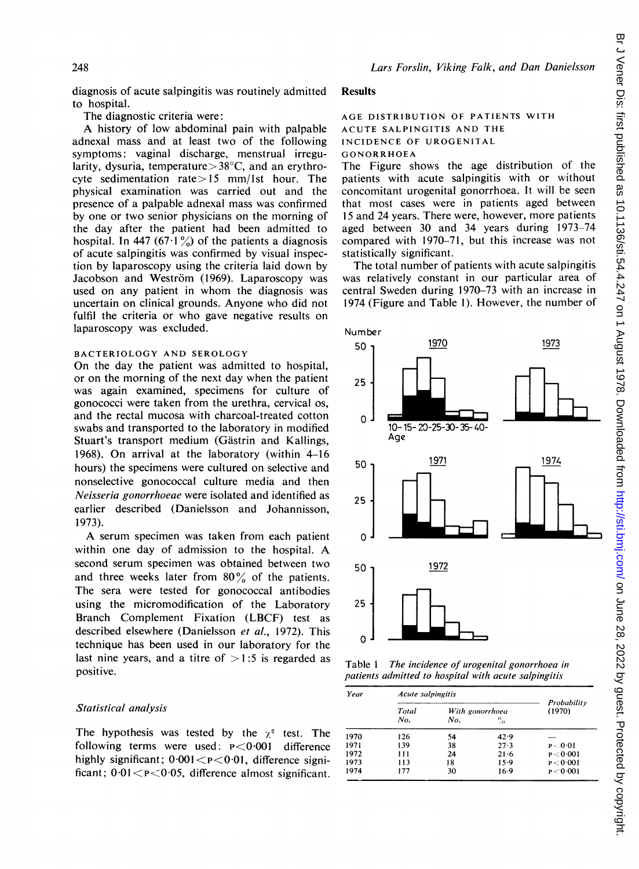diagnosis of acute salpingitis was routinely admitted to hospital.

The diagnostic criteria were:

A history of low abdominal pain with palpable adnexal mass and at least two of the following symptoms: vaginal discharge, menstrual irregularity, dysuria, temperature > 38°C, and an erythrocyte sedimentation rate $> 15$  mm/lst hour. The physical examination was carried out and the presence of a palpable adnexal mass was confirmed by one or two senior physicians on the morning of the day after the patient had been admitted to hospital. In 447 (67 $\cdot$ 1%) of the patients a diagnosis of acute salpingitis was confirmed by visual inspection by laparoscopy using the criteria laid down by Jacobson and Weström (1969). Laparoscopy was used on any patient in whom the diagnosis was uncertain on clinical grounds. Anyone who did not fulfil the criteria or who gave negative results on laparoscopy was excluded.

### BACTERIOLOGY AND SEROLOGY

On the day the patient was admitted to hospital, or on the morning of the next day when the patient was again examined, specimens for culture of gonococci were taken from the urethra, cervical os, and the rectal mucosa with charcoal-treated cotton swabs and transported to the laboratory in modified Stuart's transport medium (Gästrin and Kallings, 1968). On arrival at the laboratory (within 4-16 hours) the specimens were cultured on selective and nonselective gonococcal culture media and then Neisseria gonorrhoeae were isolated and identified as earlier described (Danielsson and Johannisson, 1973).

A serum specimen was taken from each patient within one day of admission to the hospital. A second serum specimen was obtained between two and three weeks later from  $80\%$  of the patients. The sera were tested for gonococcal antibodies using the micromodification of the Laboratory Branch Complement Fixation (LBCF) test as described elsewhere (Danielsson et al., 1972). This technique has been used in our laboratory for the last nine years, and a titre of  $>1:5$  is regarded as positive.

# Statistical analysis

The hypothesis was tested by the  $\chi^2$  test. The following terms were used: P<0-001 difference highly significant;  $0.001 < p < 0.01$ , difference significant;  $0.01 < p < 0.05$ , difference almost significant.

## Results

# AGE DISTRIBUTION OF PATIENTS WITH ACUTE SALPINGITIS AND THE INCIDENCE OF UROGENITAL GONORRHOEA

The Figure shows the age distribution of the patients with acute salpingitis with or without concomitant urogenital gonorrhoea. It will be seen that most cases were in patients aged between <sup>15</sup> and 24 years. There were, however, more patients aged between 30 and 34 years during 1973-74 compared with 1970-71, but this increase was not statistically significant.

The total number of patients with acute salpingitis was relatively constant in our particular area of central Sweden during 1970-73 with an increase in 1974 (Figure and Table 1). However, the number of



Table <sup>1</sup> The incidence of urogenital gonorrhoea in patients admitted to hospital with acute salpingitis

| Year | Acute salpingitis        | Probability<br>(1970) |                |           |
|------|--------------------------|-----------------------|----------------|-----------|
|      | Total<br>With gonorrhoea |                       |                |           |
|      | No.                      | No.                   | $\frac{0}{20}$ |           |
| 1970 | 126                      | 54                    | 42.9           |           |
| 1971 | 139                      | 38                    | 27.3           | P < 0.01  |
| 1972 | 111                      | 24                    | $21 - 6$       | P < 0.001 |
| 1973 | 113                      | 18                    | 15.9           | P < 0.001 |
| 1974 | 177                      | 30                    | $16-9$         | P < 0.001 |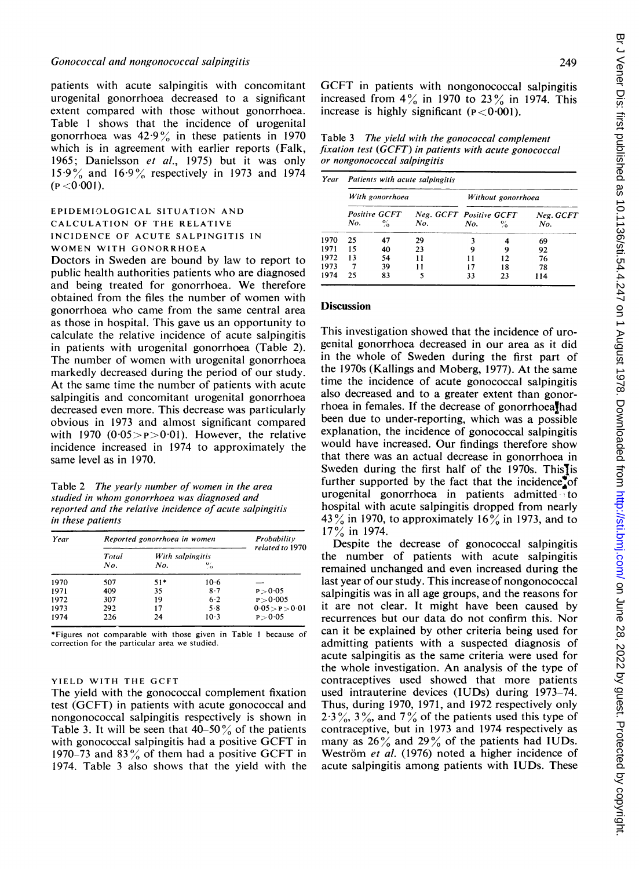patients with acute salpingitis with concomitant urogenital gonorrhoea decreased to a significant extent compared with those without gonorrhoea. Table <sup>I</sup> shows that the incidence of urogenital gonorrhoea was  $42.9\%$  in these patients in 1970 which is in agreement with earlier reports (Falk, 1965; Danielsson et al., 1975) but it was only  $15.9\%$  and  $16.9\%$  respectively in 1973 and 1974  $(P < 0.001)$ .

# EPIDEMIOLOGICAL SITUATION AND CALCULATION OF THE RELATIVE INCIDENCE OF ACUTE SALPINGITIS IN WOMEN WITH GONORRHOEA

Doctors in Sweden are bound by law to report to public health authorities patients who are diagnosed and being treated for gonorrhoea. We therefore obtained from the files the number of women with gonorrhoea who came from the same central area as those in hospital. This gave us an opportunity to calculate the relative incidence of acute salpingitis in patients with urogenital gonorrhoea (Table 2). The number of women with urogenital gonorrhoea markedly decreased during the period of our study. At the same time the number of patients with acute salpingitis and concomitant urogenital gonorrhoea decreased even more. This decrease was particularly obvious in 1973 and almost significant compared with 1970  $(0.05 > p > 0.01)$ . However, the relative incidence increased in 1974 to approximately the same level as in 1970.

Table 2 The yearly number of women in the area studied in whom gonorrhoea was diagnosed and reported and the relative incidence of acute salpingitis in these patients

| Year | Reported gonorrhoea in women | Probability<br>related to 1970 |                |                 |
|------|------------------------------|--------------------------------|----------------|-----------------|
|      | With salpingitis<br>Total    |                                |                |                 |
|      | No.                          | No.                            | $\frac{0}{10}$ |                 |
| 1970 | 507                          | $51*$                          | $10-6$         |                 |
| 1971 | 409                          | 35                             | 8.7            | P > 0.05        |
| 1972 | 307                          | 19                             | 6.2            | P > 0.005       |
| 1973 | 292                          | 17                             | 5.8            | 0.05 > P > 0.01 |
| 1974 | 226                          | 24                             | $10-3$         | P > 0.05        |

\*Figures not comparable with those given in Table <sup>1</sup> because of correction for the particular area we studied.

## YIELD WITH THE GCFT

The yield with the gonococcal complement fixation test (GCFT) in patients with acute gonococcal and nongonococcal salpingitis respectively is shown in Table 3. It will be seen that  $40-50\%$  of the patients with gonococcal salpingitis had <sup>a</sup> positive GCFT in 1970–73 and 83 $\frac{9}{2}$  of them had a positive GCFT in 1974. Table 3 also shows that the yield with the

GCFT in patients with nongonococcal salpingitis increased from  $4\%$  in 1970 to 23 $\%$  in 1974. This increase is highly significant  $(P < 0.001)$ .

Table 3 The yield with the gonococcal complement fixation test (GCFT) in patients with acute gonococcal or nongonococcal salpingitis

| Year | Patients with acute salpingitis |                       |                                |                    |                |                  |  |  |
|------|---------------------------------|-----------------------|--------------------------------|--------------------|----------------|------------------|--|--|
|      | With gonorrhoea                 |                       |                                | Without gonorrhoea |                |                  |  |  |
|      | No.                             | Positive GCFT<br>$\%$ | Neg. GCFT Positive GCFT<br>No. | No.                | $\frac{6}{10}$ | Neg. GCFT<br>No. |  |  |
| 1970 | 25                              | 47                    | 29                             |                    |                | 69               |  |  |
| 1971 | 15                              | 40                    | 23                             |                    | 9              | 92               |  |  |
| 1972 | 13                              | 54                    | 11                             |                    | 12             | 76               |  |  |
| 1973 |                                 | 39                    | 11                             |                    | 18             | 78               |  |  |
| 1974 | 25                              | 83                    |                                | 33                 | 23             | 114              |  |  |

#### **Discussion**

This investigation showed that the incidence of urogenital gonorrhoea decreased in our area as it did in the whole of Sweden during the first part of the 1970s (Kallings and Moberg, 1977). At the same time the incidence of acute gonococcal salpingitis also decreased and to a greater extent than gonorrhoea in females. If the decrease of gonorrhoealhad been due to under-reporting, which was a possible explanation, the incidence of gonococcal salpingitis would have increased. Our findings therefore show that there was an actual decrease in gonorrhoea in Sweden during the first half of the 1970s. This $\overline{\text{I}}$  is further supported by the fact that the incidence of urogenital gonorrhoea in patients admitted to hospital with acute salpingitis dropped from nearly 43% in 1970, to approximately 16% in 1973, and to  $17\%$  in 1974.

Despite the decrease of gonococcal salpingitis the number of patients with acute salpingitis remained unchanged and even increased during the last year of our study. This increase of nongonococcal salpingitis was in all age groups, and the reasons for it are not clear. It might have been caused by recurrences but our data do not confirm this. Nor can it be explained by other criteria being used for admitting patients with a suspected diagnosis of acute salpingitis as the same criteria were used for the whole investigation. An analysis of the type of contraceptives used showed that more patients used intrauterine devices (IUDs) during 1973-74. Thus, during 1970, 1971, and 1972 respectively only  $2.3\%, 3\%,$  and  $7\%$  of the patients used this type of contraceptive, but in 1973 and 1974 respectively as many as  $26\%$  and  $29\%$  of the patients had IUDs. Weström et al. (1976) noted a higher incidence of acute salpingitis among patients with IUDs. These